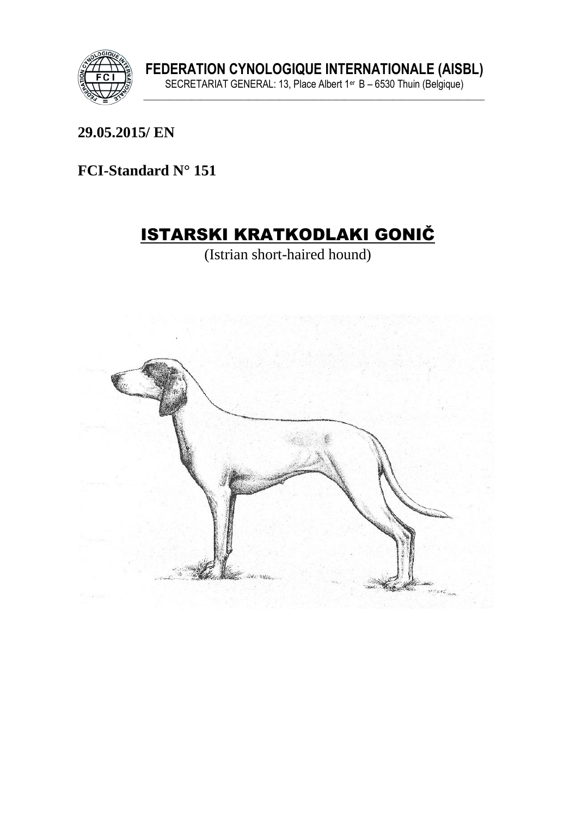

29.05.2015/EN

FCI-Standard N° 151

# **ISTARSKI KRATKODLAKI GONIČ**

(Istrian short-haired hound)

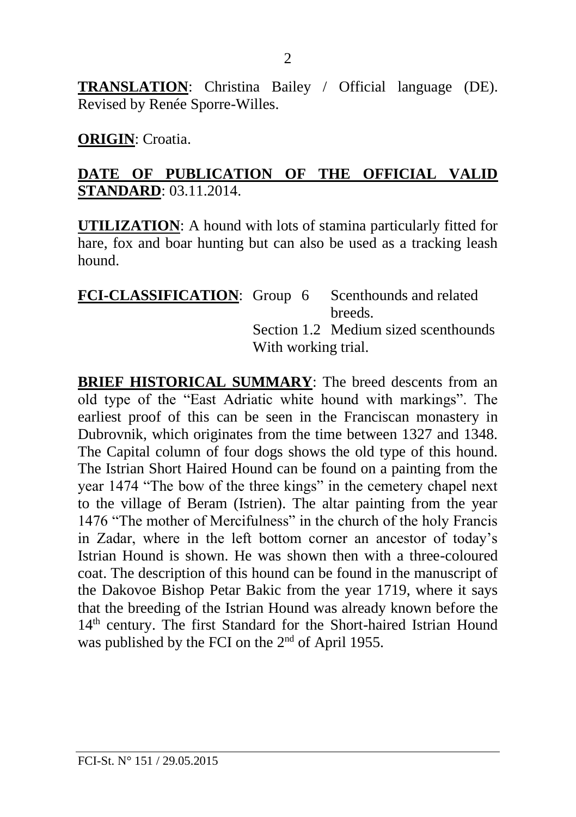**TRANSLATION**: Christina Bailey / Official language (DE). Revised by Renée Sporre-Willes.

#### **ORIGIN**: Croatia.

#### **DATE OF PUBLICATION OF THE OFFICIAL VALID STANDARD**: 03.11.2014.

**UTILIZATION**: A hound with lots of stamina particularly fitted for hare, fox and boar hunting but can also be used as a tracking leash hound.

| <b>FCI-CLASSIFICATION:</b> Group 6 Scenthounds and related |                     |  |                                      |
|------------------------------------------------------------|---------------------|--|--------------------------------------|
|                                                            |                     |  | breeds.                              |
|                                                            |                     |  | Section 1.2 Medium sized scenthounds |
|                                                            | With working trial. |  |                                      |

**BRIEF HISTORICAL SUMMARY**: The breed descents from an old type of the "East Adriatic white hound with markings". The earliest proof of this can be seen in the Franciscan monastery in Dubrovnik, which originates from the time between 1327 and 1348. The Capital column of four dogs shows the old type of this hound. The Istrian Short Haired Hound can be found on a painting from the year 1474 "The bow of the three kings" in the cemetery chapel next to the village of Beram (Istrien). The altar painting from the year 1476 "The mother of Mercifulness" in the church of the holy Francis in Zadar, where in the left bottom corner an ancestor of today's Istrian Hound is shown. He was shown then with a three-coloured coat. The description of this hound can be found in the manuscript of the Dakovoe Bishop Petar Bakic from the year 1719, where it says that the breeding of the Istrian Hound was already known before the 14<sup>th</sup> century. The first Standard for the Short-haired Istrian Hound was published by the FCI on the 2<sup>nd</sup> of April 1955.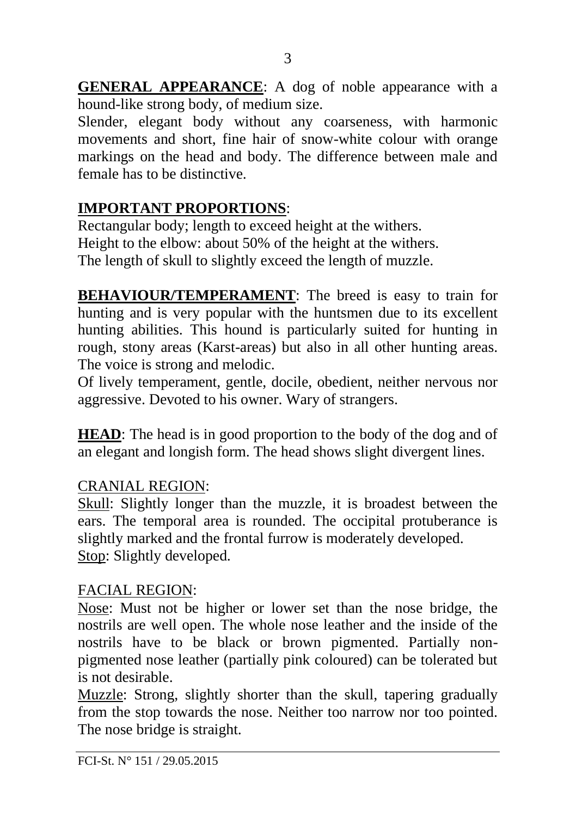**GENERAL APPEARANCE**: A dog of noble appearance with a hound-like strong body, of medium size.

Slender, elegant body without any coarseness, with harmonic movements and short, fine hair of snow-white colour with orange markings on the head and body. The difference between male and female has to be distinctive.

### **IMPORTANT PROPORTIONS**:

Rectangular body; length to exceed height at the withers. Height to the elbow: about 50% of the height at the withers. The length of skull to slightly exceed the length of muzzle.

**BEHAVIOUR/TEMPERAMENT**: The breed is easy to train for hunting and is very popular with the huntsmen due to its excellent hunting abilities. This hound is particularly suited for hunting in rough, stony areas (Karst-areas) but also in all other hunting areas. The voice is strong and melodic.

Of lively temperament, gentle, docile, obedient, neither nervous nor aggressive. Devoted to his owner. Wary of strangers.

**HEAD**: The head is in good proportion to the body of the dog and of an elegant and longish form. The head shows slight divergent lines.

### CRANIAL REGION:

Skull: Slightly longer than the muzzle, it is broadest between the ears. The temporal area is rounded. The occipital protuberance is slightly marked and the frontal furrow is moderately developed. Stop: Slightly developed.

#### FACIAL REGION:

Nose: Must not be higher or lower set than the nose bridge, the nostrils are well open. The whole nose leather and the inside of the nostrils have to be black or brown pigmented. Partially nonpigmented nose leather (partially pink coloured) can be tolerated but is not desirable.

Muzzle: Strong, slightly shorter than the skull, tapering gradually from the stop towards the nose. Neither too narrow nor too pointed. The nose bridge is straight.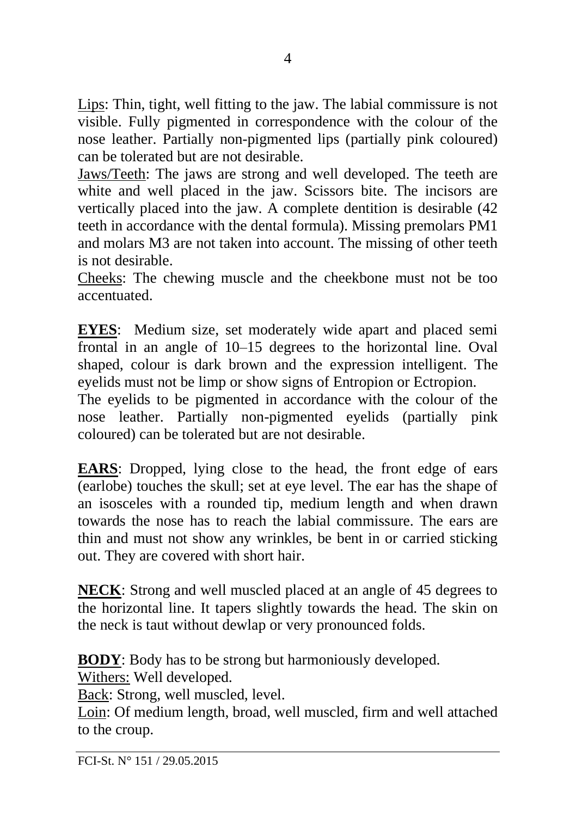Lips: Thin, tight, well fitting to the jaw. The labial commissure is not visible. Fully pigmented in correspondence with the colour of the nose leather. Partially non-pigmented lips (partially pink coloured) can be tolerated but are not desirable.

Jaws/Teeth: The jaws are strong and well developed. The teeth are white and well placed in the jaw. Scissors bite. The incisors are vertically placed into the jaw. A complete dentition is desirable (42 teeth in accordance with the dental formula). Missing premolars PM1 and molars M3 are not taken into account. The missing of other teeth is not desirable.

Cheeks: The chewing muscle and the cheekbone must not be too accentuated.

**EYES**: Medium size, set moderately wide apart and placed semi frontal in an angle of 10–15 degrees to the horizontal line. Oval shaped, colour is dark brown and the expression intelligent. The eyelids must not be limp or show signs of Entropion or Ectropion.

The eyelids to be pigmented in accordance with the colour of the nose leather. Partially non-pigmented eyelids (partially pink coloured) can be tolerated but are not desirable.

**EARS**: Dropped, lying close to the head, the front edge of ears (earlobe) touches the skull; set at eye level. The ear has the shape of an isosceles with a rounded tip, medium length and when drawn towards the nose has to reach the labial commissure. The ears are thin and must not show any wrinkles, be bent in or carried sticking out. They are covered with short hair.

**NECK**: Strong and well muscled placed at an angle of 45 degrees to the horizontal line. It tapers slightly towards the head. The skin on the neck is taut without dewlap or very pronounced folds.

**BODY**: Body has to be strong but harmoniously developed.

Withers: Well developed.

Back: Strong, well muscled, level.

Loin: Of medium length, broad, well muscled, firm and well attached to the croup.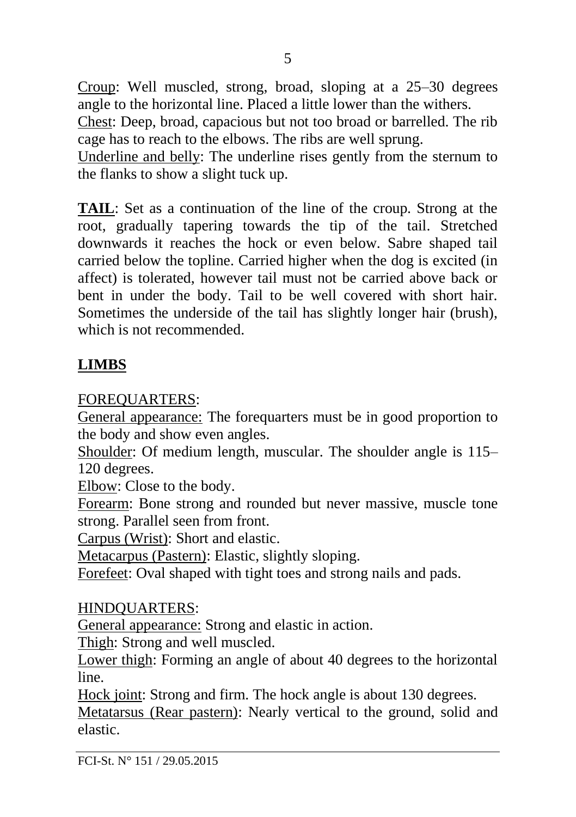Croup: Well muscled, strong, broad, sloping at a 25–30 degrees angle to the horizontal line. Placed a little lower than the withers.

Chest: Deep, broad, capacious but not too broad or barrelled. The rib cage has to reach to the elbows. The ribs are well sprung.

Underline and belly: The underline rises gently from the sternum to the flanks to show a slight tuck up.

**TAIL**: Set as a continuation of the line of the croup. Strong at the root, gradually tapering towards the tip of the tail. Stretched downwards it reaches the hock or even below. Sabre shaped tail carried below the topline. Carried higher when the dog is excited (in affect) is tolerated, however tail must not be carried above back or bent in under the body. Tail to be well covered with short hair. Sometimes the underside of the tail has slightly longer hair (brush), which is not recommended.

### **LIMBS**

### FOREQUARTERS:

General appearance: The forequarters must be in good proportion to the body and show even angles.

Shoulder: Of medium length, muscular. The shoulder angle is 115– 120 degrees.

Elbow: Close to the body.

Forearm: Bone strong and rounded but never massive, muscle tone strong. Parallel seen from front.

Carpus (Wrist): Short and elastic.

Metacarpus (Pastern): Elastic, slightly sloping.

Forefeet: Oval shaped with tight toes and strong nails and pads.

### HINDQUARTERS:

General appearance: Strong and elastic in action.

Thigh: Strong and well muscled.

Lower thigh: Forming an angle of about 40 degrees to the horizontal line.

Hock joint: Strong and firm. The hock angle is about 130 degrees.

Metatarsus (Rear pastern): Nearly vertical to the ground, solid and elastic.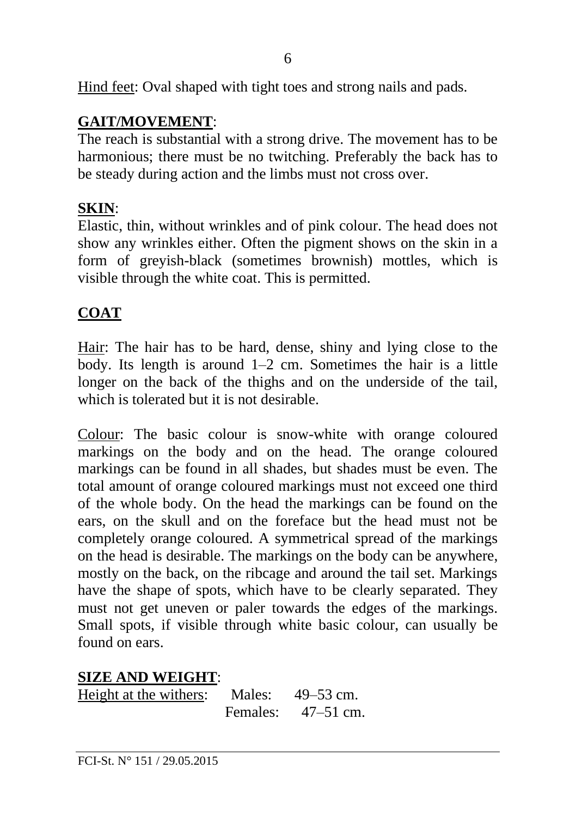Hind feet: Oval shaped with tight toes and strong nails and pads.

### **GAIT/MOVEMENT**:

The reach is substantial with a strong drive. The movement has to be harmonious; there must be no twitching. Preferably the back has to be steady during action and the limbs must not cross over.

### **SKIN**:

Elastic, thin, without wrinkles and of pink colour. The head does not show any wrinkles either. Often the pigment shows on the skin in a form of greyish-black (sometimes brownish) mottles, which is visible through the white coat. This is permitted.

### **COAT**

Hair: The hair has to be hard, dense, shiny and lying close to the body. Its length is around 1–2 cm. Sometimes the hair is a little longer on the back of the thighs and on the underside of the tail, which is tolerated but it is not desirable.

Colour: The basic colour is snow-white with orange coloured markings on the body and on the head. The orange coloured markings can be found in all shades, but shades must be even. The total amount of orange coloured markings must not exceed one third of the whole body. On the head the markings can be found on the ears, on the skull and on the foreface but the head must not be completely orange coloured. A symmetrical spread of the markings on the head is desirable. The markings on the body can be anywhere, mostly on the back, on the ribcage and around the tail set. Markings have the shape of spots, which have to be clearly separated. They must not get uneven or paler towards the edges of the markings. Small spots, if visible through white basic colour, can usually be found on ears.

### **SIZE AND WEIGHT**:

| Height at the withers: | Males:   | $49 - 53$ cm. |
|------------------------|----------|---------------|
|                        | Females: | $47 - 51$ cm. |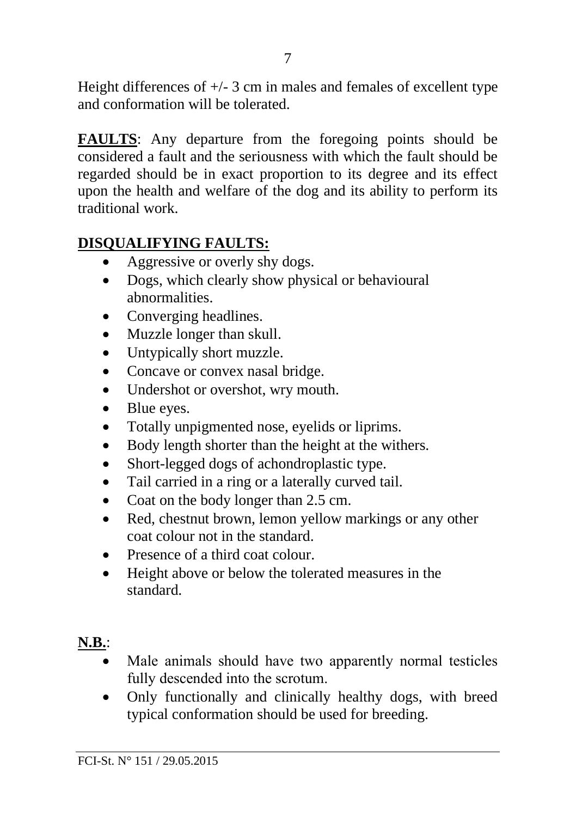Height differences of  $+/- 3$  cm in males and females of excellent type and conformation will be tolerated.

**FAULTS**: Any departure from the foregoing points should be considered a fault and the seriousness with which the fault should be regarded should be in exact proportion to its degree and its effect upon the health and welfare of the dog and its ability to perform its traditional work.

### **DISQUALIFYING FAULTS:**

- Aggressive or overly shy dogs.
- Dogs, which clearly show physical or behavioural abnormalities.
- Converging headlines.
- Muzzle longer than skull.
- Untypically short muzzle.
- Concave or convex nasal bridge.
- Undershot or overshot, wry mouth.
- Blue eyes.
- Totally unpigmented nose, evelids or liprims.
- Body length shorter than the height at the withers.
- Short-legged dogs of achondroplastic type.
- Tail carried in a ring or a laterally curved tail.
- Coat on the body longer than 2.5 cm.
- Red, chestnut brown, lemon yellow markings or any other coat colour not in the standard.
- Presence of a third coat colour
- Height above or below the tolerated measures in the standard.

## **N.B.**:

- Male animals should have two apparently normal testicles fully descended into the scrotum.
- Only functionally and clinically healthy dogs, with breed typical conformation should be used for breeding.